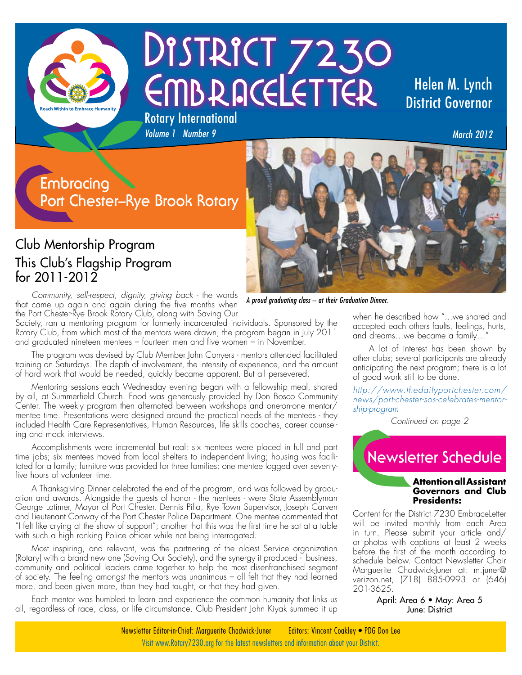

# DISTRICT 7230 EMBRACELETTER Rotary International

## Helen M. Lynch District Governor

*March 2012*

## **Embracing Port Chester–Rye Brook Rotary**

#### Club Mentorship Program This Club's Flagship Program for 2011-2012

*Community, self-respect, dignity, giving back* - the words that came up again and again during the five months when the Port Chester-Rye Brook Rotary Club, along with Saving Our

Society, ran a mentoring program for formerly incarcerated individuals. Sponsored by the Rotary Club, from which most of the mentors were drawn, the program began in July 2011 and graduated nineteen mentees – fourteen men and five women – in November.

*Volume 1 Number 9* 

The program was devised by Club Member John Conyers - mentors attended facilitated training on Saturdays. The depth of involvement, the intensity of experience, and the amount of hard work that would be needed, quickly became apparent. But all persevered.

Mentoring sessions each Wednesday evening began with a fellowship meal, shared by all, at Summerfield Church. Food was generously provided by Don Bosco Community Center. The weekly program then alternated between workshops and one-on-one mentor/ mentee time. Presentations were designed around the practical needs of the mentees - they included Health Care Representatives, Human Resources, life skills coaches, career counseling and mock interviews.

Accomplishments were incremental but real: six mentees were placed in full and part time jobs; six mentees moved from local shelters to independent living; housing was facilitated for a family; furniture was provided for three families; one mentee logged over seventyfive hours of volunteer time.

A Thanksgiving Dinner celebrated the end of the program, and was followed by graduation and awards. Alongside the guests of honor - the mentees - were State Assemblyman George Latimer, Mayor of Port Chester, Dennis Pilla, Rye Town Supervisor, Joseph Carven and Lieutenant Conway of the Port Chester Police Department. One mentee commented that "I felt like crying at the show of support"; another that this was the first time he sat at a table with such a high ranking Police officer while not being interrogated.

Most inspiring, and relevant, was the partnering of the oldest Service organization (Rotary) with a brand new one (Saving Our Society), and the synergy it produced - business, community and political leaders came together to help the most disenfranchised segment of society. The feeling amongst the mentors was unanimous – all felt that they had learned more, and been given more, than they had taught, or that they had given.

Each mentor was humbled to learn and experience the common humanity that links us all, regardless of race, class, or life circumstance. Club President John Kiyak summed it up



*A proud graduating class – at their Graduation Dinner.* 

when he described how "...we shared and accepted each others faults, feelings, hurts, and dreams...we became a family...

A lot of interest has been shown by other clubs; several participants are already anticipating the next program; there is a lot of good work still to be done.

*http://www.thedailyportchester.com/ news/port-chester-sos-celebrates-mentorship-program*

*Continued on page 2*



#### **Attention all Assistant Governors and Club Presidents:**

Content for the District 7230 EmbraceLetter will be invited monthly from each Area in turn. Please submit your article and/ or photos with captions at least 2 weeks before the first of the month according to schedule below. Contact Newsletter Chair Marguerite Chadwick-Juner at: m.juner@ verizon.net, (718) 885-0993 or (646) 201-3625.

> April: Area 6 • May: Area 5 June: District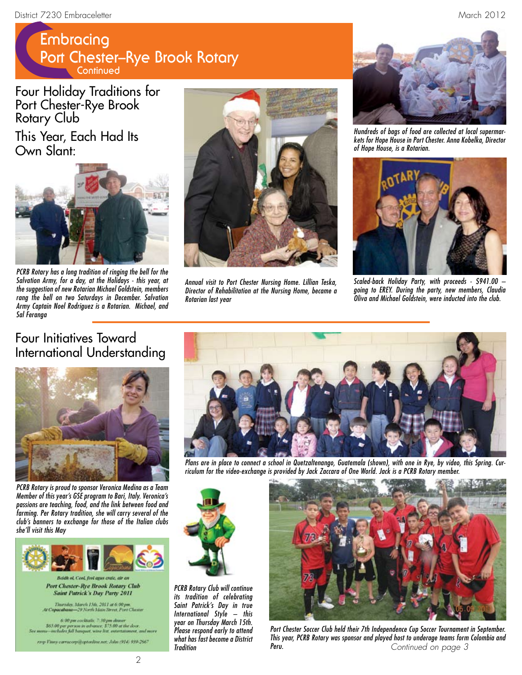## **Embracing Port Chester–Rye Brook Rotary Continued**

Four Holiday Traditions for Port Chester-Rye Brook Rotary Club

This Year, Each Had Its Own Slant:



*PCRB Rotary has a long tradition of ringing the bell for the Salvation Army, for a day, at the Holidays - this year, at the suggestion of new Rotarian Michael Goldstein, members rang the bell on two Saturdays in December. Salvation Army Captain Noel Rodriguez is a Rotarian. Michael, and Sal Feranga* 



*Annual visit to Port Chester Nursing Home. Lillian Teska, Director of Rehabilitation at the Nursing Home, became a Rotarian last year* 



*Hundreds of bags of food are collected at local supermarkets for Hope House in Port Chester. Anna Kobelka, Director of Hope House, is a Rotarian.*



*Scaled-back Holiday Party, with proceeds - \$941.00 – going to EREY. During the party, new members, Claudia Oliva and Michael Goldstein, were inducted into the club.*

#### Four Initiatives Toward International Understanding



*PCRB Rotary is proud to sponsor Veronica Medina as a Team Member of this year's GSE program to Bari, Italy. Veronica's passions are teaching, food, and the link between food and farming. Per Rotary tradition, she will carry several of the club's banners to exchange for those of the Italian clubs she'll visit this May* 



Beidh ol, Cool, fool agus craic, air a Port Chester-Rye Brook Rotary Club **Saint Patrick's Day Party 2011** 

.<br>Thursday, March 15th, 2011 at 6:00 pm.<br>pacabana—29 North Main Street, Port Chest

6:00 pm cocktabls: 7:30 pm dinner<br>\$65.00 per person in advance: \$75.00 at the door<br>w-mchules full hanguet, wine list, entertationent,

rasp Vinny carracorpii optonline.net; John (914) 939-2867



*Plans are in place to connect a school in Quetzaltenango, Guatemala (shown), with one in Rye, by video, this Spring. Curriculum for the video-exchange is provided by Jack Zaccara of One World. Jack is a PCRB Rotary member.* 



*PCRB Rotary Club will continue its tradition of celebrating Saint Patrick's Day in true International Style – this year on Thursday March 15th. Please respond early to attend what has fast become a District Tradition* 



*Port Chester Soccer Club held their 7th Independence Cup Soccer Tournament in September. This year, PCRB Rotary was sponsor and played host to underage teams form Colombia and Peru. Continued on page 3*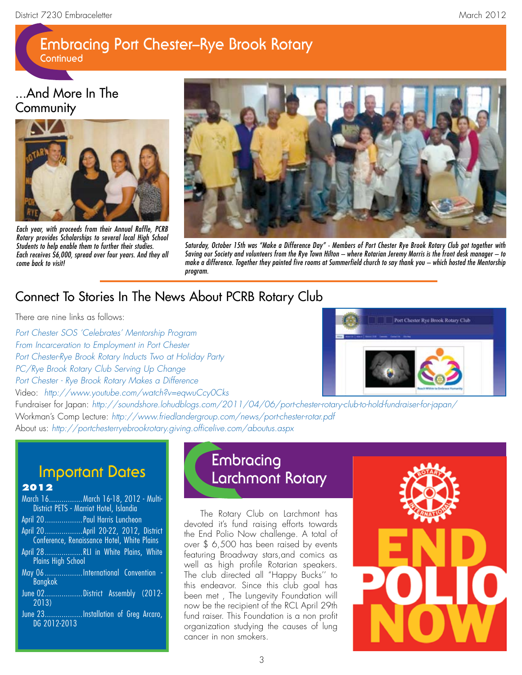# **Embracing Port Chester–Rye Brook Rotary**

**Continued**

#### ...And More In The **Community**



*Each year, with proceeds from their Annual Raffle, PCRB Rotary provides Scholarships to several local High School Students to help enable them to further their studies. Each receives \$6,000, spread over four years. And they all come back to visit!*



*Saturday, October 15th was "Make a Difference Day" - Members of Port Chester Rye Brook Rotary Club got together with Saving our Society and volunteers from the Rye Town Hilton – where Rotarian Jeremy Morris is the front desk manager – to make a difference. Together they painted five rooms at Summerfield church to say thank you – which hosted the Mentorship program.* 

### Connect To Stories In The News About PCRB Rotary Club

There are nine links as follows:

*Port Chester SOS 'Celebrates' Mentorship Program From Incarceration to Employment in Port Chester Port Chester-Rye Brook Rotary Inducts Two at Holiday Party PC/Rye Brook Rotary Club Serving Up Change Port Chester - Rye Brook Rotary Makes a Difference*

Video: *http://www.youtube.com/watch?v=eqwuCcy0Cks*



Fundraiser for Japan: *http://soundshore.lohudblogs.com/2011/04/06/port-chester-rotary-club-to-hold-fundraiser-for-japan/* Workman's Comp Lecture: *http://www.friedlandergroup.com/news/port-chester-rotar.pdf* About us: *http://portchesterryebrookrotary.giving.officelive.com/aboutus.aspx*

## **Important Dates**

#### **2012**

## **Embracing Larchmont Rotary**

The Rotary Club on Larchmont has devoted it's fund raising efforts towards the End Polio Now challenge. A total of over \$ 6,500 has been raised by events featuring Broadway stars,and comics as well as high profile Rotarian speakers. The club directed all "Happy Bucks'' to this endeavor. Since this club goal has been met , The Lungevity Foundation will now be the recipient of the RCL April 29th fund raiser. This Foundation is a non profit organization studying the causes of lung cancer in non smokers.